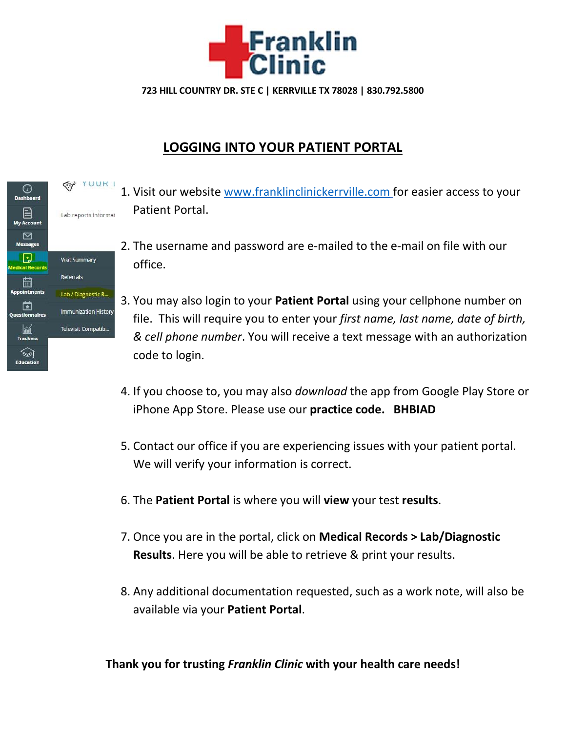

**723 HILL COUNTRY DR. STE C | KERRVILLE TX 78028 | 830.792.5800**

# **LOGGING INTO YOUR PATIENT PORTAL**

- 1. Visit our website [www.franklinclinickerrville.com](http://www.franklinclinickerrville.com/) for easier access to your ⊙ Patient Portal. Lab reports informat ⊠ 2. The username and password are e-mailed to the e-mail on file with our 冋 **Visit Summary** office. Referrals 峝 Lab / Diagnostic R... 3. You may also login to your **Patient Portal** using your cellphone number on ⊡ **Immunization History** file. This will require you to enter your *first name, last name, date of birth,* laí Televisit Compatib.. *& cell phone number*. You will receive a text message with an authorization code to login.
	- 4. If you choose to, you may also *download* the app from Google Play Store or iPhone App Store. Please use our **practice code. BHBIAD**
	- 5. Contact our office if you are experiencing issues with your patient portal. We will verify your information is correct.
	- 6. The **Patient Portal** is where you will **view** your test **results**.
	- 7. Once you are in the portal, click on **Medical Records > Lab/Diagnostic Results**. Here you will be able to retrieve & print your results.
	- 8. Any additional documentation requested, such as a work note, will also be available via your **Patient Portal**.

**Thank you for trusting** *Franklin Clinic* **with your health care needs!**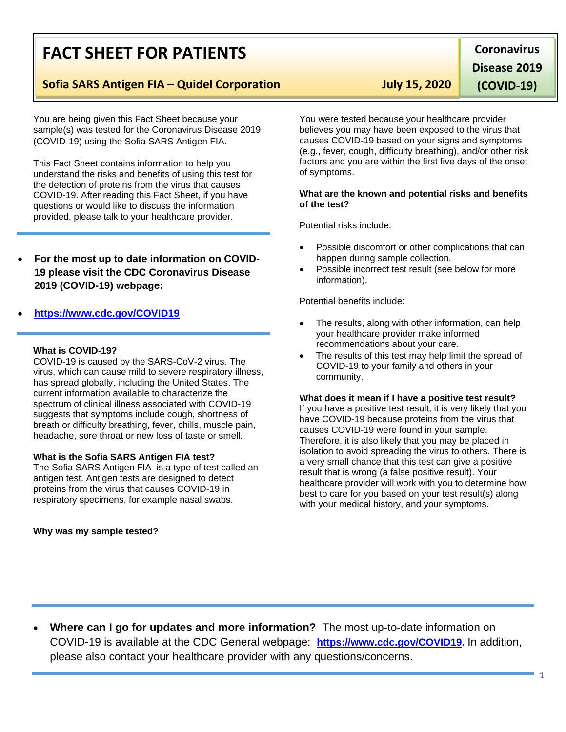# **FACT SHEET FOR PATIENTS**

# **Sofia SARS Antigen FIA – Quidel Corporation July 15, 2020**

You are being given this Fact Sheet because your sample(s) was tested for the Coronavirus Disease 2019 (COVID-19) using the Sofia SARS Antigen FIA.

This Fact Sheet contains information to help you understand the risks and benefits of using this test for the detection of proteins from the virus that causes COVID-19. After reading this Fact Sheet, if you have questions or would like to discuss the information provided, please talk to your healthcare provider.

• **For the most up to date information on COVID-19 please visit the CDC Coronavirus Disease 2019 (COVID-19) webpage:**

# • **[https://www.cdc.gov/COVID19](https://www.cdc.gov/nCoV)**

#### **What is COVID-19?**

COVID-19 is caused by the SARS-CoV-2 virus. The virus, which can cause mild to severe respiratory illness, has spread globally, including the United States. The current information available to characterize the spectrum of clinical illness associated with COVID-19 suggests that symptoms include cough, shortness of breath or difficulty breathing, fever, chills, muscle pain, headache, sore throat or new loss of taste or smell.

### **What is the Sofia SARS Antigen FIA test?**

The Sofia SARS Antigen FIA is a type of test called an antigen test. Antigen tests are designed to detect proteins from the virus that causes COVID-19 in respiratory specimens, for example nasal swabs.

**Why was my sample tested?**

**Coronavirus Disease 2019** 

**(COVID-19)**

1

You were tested because your healthcare provider believes you may have been exposed to the virus that causes COVID-19 based on your signs and symptoms (e.g., fever, cough, difficulty breathing), and/or other risk factors and you are within the first five days of the onset of symptoms.

## **What are the known and potential risks and benefits of the test?**

Potential risks include:

- Possible discomfort or other complications that can happen during sample collection.
- Possible incorrect test result (see below for more information).

Potential benefits include:

- The results, along with other information, can help your healthcare provider make informed recommendations about your care.
- The results of this test may help limit the spread of COVID-19 to your family and others in your community.

**What does it mean if I have a positive test result?** If you have a positive test result, it is very likely that you have COVID-19 because proteins from the virus that causes COVID-19 were found in your sample. Therefore, it is also likely that you may be placed in isolation to avoid spreading the virus to others. There is a very small chance that this test can give a positive result that is wrong (a false positive result). Your healthcare provider will work with you to determine how best to care for you based on your test result(s) along with your medical history, and your symptoms.

• **Where can I go for updates and more information?** The most up-to-date information on COVID-19 is available at the CDC General webpage: **[https://www.cdc.gov/COVID19.](https://www.cdc.gov/nCoV)** In addition, please also contact your healthcare provider with any questions/concerns.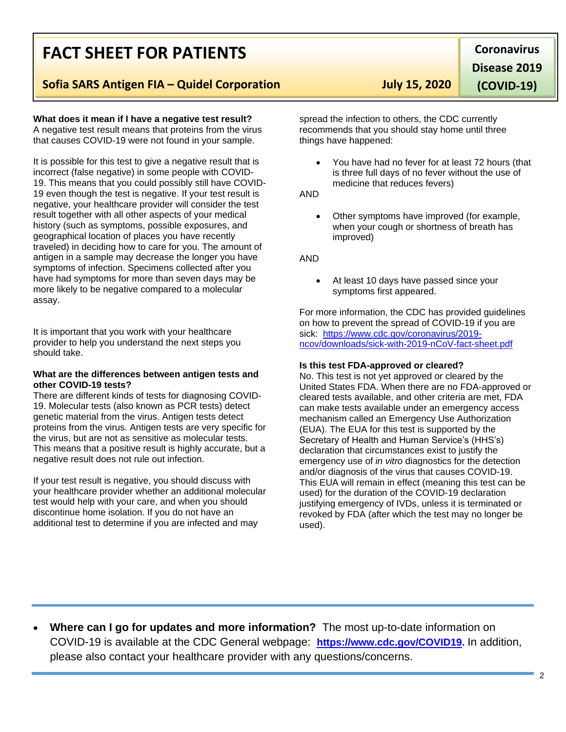# **FACT SHEET FOR PATIENTS**

# **Sofia SARS Antigen FIA – Quidel Corporation July 15, 2020**

## **What does it mean if I have a negative test result?**

A negative test result means that proteins from the virus that causes COVID-19 were not found in your sample.

It is possible for this test to give a negative result that is incorrect (false negative) in some people with COVID-19. This means that you could possibly still have COVID-19 even though the test is negative. If your test result is negative, your healthcare provider will consider the test result together with all other aspects of your medical history (such as symptoms, possible exposures, and geographical location of places you have recently traveled) in deciding how to care for you. The amount of antigen in a sample may decrease the longer you have symptoms of infection. Specimens collected after you have had symptoms for more than seven days may be more likely to be negative compared to a molecular assay.

It is important that you work with your healthcare provider to help you understand the next steps you should take.

## **What are the differences between antigen tests and other COVID-19 tests?**

There are different kinds of tests for diagnosing COVID-19. Molecular tests (also known as PCR tests) detect genetic material from the virus. Antigen tests detect proteins from the virus. Antigen tests are very specific for the virus, but are not as sensitive as molecular tests. This means that a positive result is highly accurate, but a negative result does not rule out infection.

If your test result is negative, you should discuss with your healthcare provider whether an additional molecular test would help with your care, and when you should discontinue home isolation. If you do not have an additional test to determine if you are infected and may

**Coronavirus Disease 2019** 

**(COVID-19)**

spread the infection to others, the CDC currently recommends that you should stay home until three things have happened:

• You have had no fever for at least 72 hours (that is three full days of no fever without the use of medicine that reduces fevers)

AND

• Other symptoms have improved (for example, when your cough or shortness of breath has improved)

AND

• At least 10 days have passed since your symptoms first appeared.

For more information, the CDC has provided guidelines on how to prevent the spread of COVID-19 if you are sick: [https://www.cdc.gov/coronavirus/2019](https://www.cdc.gov/coronavirus/2019-ncov/downloads/sick-with-2019-nCoV-fact-sheet.pdf) [ncov/downloads/sick-with-2019-nCoV-fact-sheet.pdf](https://www.cdc.gov/coronavirus/2019-ncov/downloads/sick-with-2019-nCoV-fact-sheet.pdf)

## **Is this test FDA-approved or cleared?**

No. This test is not yet approved or cleared by the United States FDA. When there are no FDA-approved or cleared tests available, and other criteria are met, FDA can make tests available under an emergency access mechanism called an Emergency Use Authorization (EUA). The EUA for this test is supported by the Secretary of Health and Human Service's (HHS's) declaration that circumstances exist to justify the emergency use of *in vitro* diagnostics for the detection and/or diagnosis of the virus that causes COVID-19. This EUA will remain in effect (meaning this test can be used) for the duration of the COVID-19 declaration justifying emergency of IVDs, unless it is terminated or revoked by FDA (after which the test may no longer be used).

• **Where can I go for updates and more information?** The most up-to-date information on COVID-19 is available at the CDC General webpage: **[https://www.cdc.gov/COVID19.](https://www.cdc.gov/nCoV)** In addition, please also contact your healthcare provider with any questions/concerns.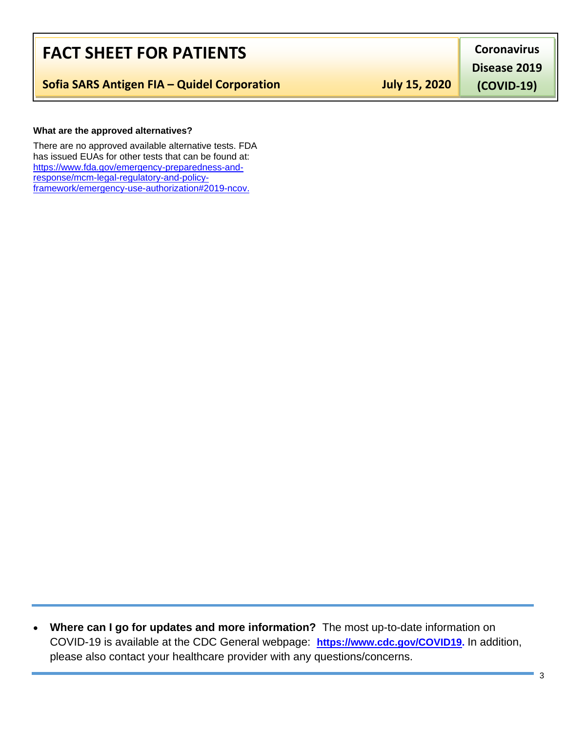# **FACT SHEET FOR PATIENTS**

**Sofia SARS Antigen FIA – Quidel Corporation July 15, 2020**

**Coronavirus Disease 2019** 

**(COVID-19)**

# **What are the approved alternatives?**

There are no approved available alternative tests. FDA has issued EUAs for other tests that can be found at: [https://www.fda.gov/emergency-preparedness-and](https://www.fda.gov/emergency-preparedness-and-response/mcm-legal-regulatory-and-policy-framework/emergency-use-authorization#2019-ncov)[response/mcm-legal-regulatory-and-policy](https://www.fda.gov/emergency-preparedness-and-response/mcm-legal-regulatory-and-policy-framework/emergency-use-authorization#2019-ncov)[framework/emergency-use-authorization#2019-ncov.](https://www.fda.gov/emergency-preparedness-and-response/mcm-legal-regulatory-and-policy-framework/emergency-use-authorization#2019-ncov)

• **Where can I go for updates and more information?** The most up-to-date information on COVID-19 is available at the CDC General webpage: **[https://www.cdc.gov/COVID19.](https://www.cdc.gov/nCoV)** In addition, please also contact your healthcare provider with any questions/concerns.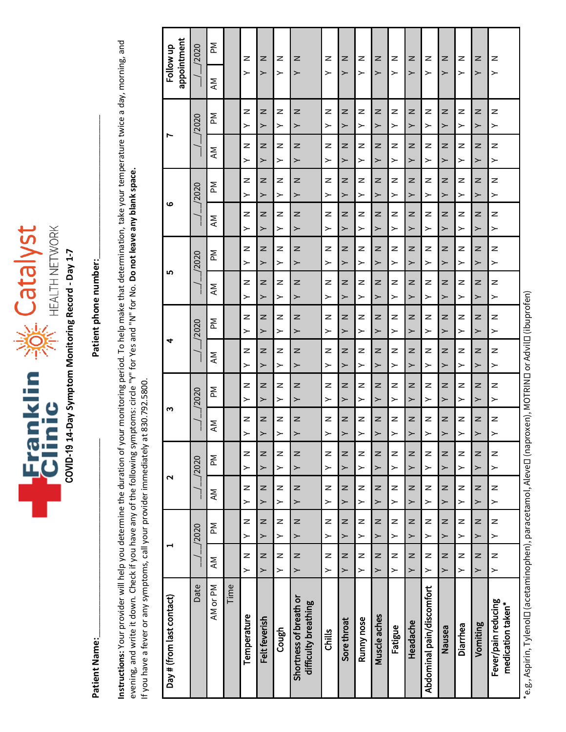

Patient Name:

**Patient Name:\_\_\_\_\_\_\_\_\_\_\_\_\_\_\_\_\_\_\_\_\_\_\_\_\_\_\_\_\_\_\_\_\_\_\_\_\_\_\_\_\_\_\_ Patient phone number:\_\_\_\_\_\_\_\_\_\_\_\_\_\_\_\_\_\_\_\_\_\_\_\_\_\_\_\_\_\_\_**  Patient phone number:

**Instructions:** Your provider will help you determine the duration of your monitoring period. To help make that determination, take your temperature twice a day, morning, and Instructions: Your provider will help you determine the duration of your monitoring period. To help make that determination, take your temperature twice a day, morning, and evening, and write it down. Check if you have any of the following symptoms: circle "Y" for Yes and "N" for No. Do not leave any blank space. evening, and write it down. Check if you have any of the following symptoms: circle "Y" for Yes and "N" for No. **Do not leave any blank space.** If you have a fever or any symptoms, call your provider immediately at 830.792.5800. If you have a fever or any symptoms, call your provider immediately at 830.792.5800.

| appointment<br>Follow up  | /2020 | ΣÑ<br>ξ      |      | z<br>≻      | z<br>$\succ$            | z<br>≻       | z<br>≻                                         | z<br>≻       | z<br>≻            | z<br>≻     | z<br>$\succ$            | z<br>≻       | z<br>≻   | z<br>≻                    | z<br>≻                  | z<br>≻   | z<br>$\succ$ | z<br>≻                                                     |
|---------------------------|-------|--------------|------|-------------|-------------------------|--------------|------------------------------------------------|--------------|-------------------|------------|-------------------------|--------------|----------|---------------------------|-------------------------|----------|--------------|------------------------------------------------------------|
|                           | /2020 | ΣÑ           |      | z<br>≻      | z<br>$\succ$            | z<br>≻       | z<br>$\succ$                                   | z<br>≻       | z<br>≻            | z<br>≻     | z<br>≻                  | z<br>≻       | z<br>≻   | z<br>≻                    | z<br>≻                  | z<br>≻   | z<br>≻       | z<br>≻                                                     |
|                           |       | Μ            |      | z<br>≻      | z<br>$\succ$            | z<br>≻       | z<br>$\succ$                                   | z<br>≻       | z<br>≻            | z<br>≻     | z<br>≻                  | z<br>≻       | z<br>≻   | z<br>≻                    | z<br>≻                  | z<br>≻   | z<br>≻       | z<br>≻                                                     |
|                           | /2020 | ΣÑ           |      | z<br>≻      | z<br>≻                  | z<br>≻       | z<br>≻                                         | z<br>≻       | z<br>≻            | z<br>≻     | z<br>≻                  | z<br>≻       | z<br>≻   | z<br>≻                    | z<br>≻                  | z<br>≻   | z<br>$\succ$ | z<br>≻                                                     |
| ဖ                         |       | ξ            |      | z<br>≻      | z<br>$\succ$            | z<br>≻       | z<br>≻                                         | z<br>≻       | z<br>≻            | z<br>≻     | z<br>≻                  | z<br>≻       | z<br>≻   | z<br>≻                    | z<br>≻                  | z<br>≻   | z<br>$\succ$ | z<br>≻                                                     |
|                           | /2020 | ΣN           |      | z<br>≻      | z<br>≻                  | z<br>≻       | z<br>≻                                         | z<br>≻       | z<br>≻            | z<br>≻     | z<br>≻                  | z<br>≻       | z<br>≻   | z<br>≻                    | z<br>≻                  | z<br>≻   | z<br>≻       | z<br>≻                                                     |
| 5                         |       | Μ            |      | z<br>≻      | z<br>≻                  | z<br>≻       | z<br>≻                                         | z<br>≻       | z<br>≻            | z<br>≻     | z<br>≻                  | z<br>≻       | z<br>≻   | z<br>≻                    | z<br>≻                  | z<br>≻   | z<br>≻       | z<br>≻                                                     |
|                           | /2020 | <b>Md</b>    |      | z<br>≻      | z<br>$\succ$            | z<br>≻       | z<br>≻                                         | z<br>≻       | z<br>≻            | z<br>≻     | z<br>≻                  | z<br>≻       | z<br>≻   | z<br>≻                    | z<br>≻                  | z<br>≻   | z<br>≻       | z<br>Ë<br>≻<br>Е                                           |
| 4                         |       | ΚM           |      | z<br>≻      | z<br>$\succ$            | z<br>≻       | z<br>$\succ$                                   | z<br>≻       | z<br>≻            | z<br>≻     | z<br>≻                  | z<br>≻       | z<br>≻   | z<br>≻                    | z<br>≻                  | z<br>≻   | z<br>$\succ$ | z<br>≻                                                     |
|                           | /2020 | <b>Md</b>    |      | z<br>≻      | z<br>$\succ$            | z<br>≻       | z<br>≻                                         | z<br>≻       | z<br>≻            | z<br>≻     | z<br>≻                  | z<br>≻       | z<br>≻   | z<br>≻                    | z<br>≻                  | z<br>≻   | z<br>$\succ$ | с<br>z<br>≻                                                |
| ო                         |       | $\mathsf{M}$ |      | z<br>≻      | z<br>≻                  | z<br>≻       | z<br>≻                                         | z<br>≻       | z<br>≻            | z<br>≻     | z<br>≻                  | z<br>≻       | z<br>≻   | z<br>≻                    | z<br>≻                  | z<br>≻   | z<br>≻       | z<br>≻                                                     |
|                           | /2020 | $\mathbb{R}$ |      | Z<br>≻      | $\mathsf{z}$<br>≻       | Z<br>≻       | $\mathsf{z}$<br>≻                              | Z<br>$\succ$ | $\mathsf{z}$<br>≻ | z<br>≻     | z<br>$\succ$            | z<br>≻       | Z<br>≻   | Z<br>≻                    | $\mathsf{z}$<br>$\succ$ | z<br>≻   | z<br>≻       | Z<br>$\frac{1}{2}$<br>$\succ$                              |
| $\mathbf{\Omega}$         |       | ξ            |      | z<br>≻      | z<br>≻                  | z<br>$\succ$ | z<br>$\succ$                                   | Z<br>$\succ$ | z<br>≻            | z<br>≻     | Z<br>$\geq$             | Z<br>$\succ$ | z<br>≻   | z<br>≻                    | z<br>$\succ$            | z<br>≻   | z<br>≻       | ζ<br>z<br>$\geq$                                           |
|                           | /2020 | $\mathbb{R}$ |      | z<br>≻      | z<br>≻                  | Z<br>$\succ$ | $\geq$<br>$\succ$                              | Z<br>≻       | z<br>≻            | z<br>≻     | Z<br>$\succ$            | Z<br>≻       | z<br>≻   | Z<br>≻                    | Z<br>$\succ$            | z<br>≻   | z<br>≻       | Z<br>$\geq$                                                |
| H                         |       | ĄΜ           |      | Z<br>≻      | $\mathsf{z}$<br>$\succ$ | Z<br>≻       | $\geq$<br>$\succ$                              | Z<br>$\succ$ | $\mathsf{z}$<br>≻ | z<br>≻     | $\mathsf{z}$<br>$\succ$ | Z<br>$\succ$ | z<br>≻   | z<br>$\succ$              | $\mathsf{z}$<br>$\succ$ | z<br>≻   | z<br>$\succ$ | Z<br>$\geq$                                                |
| Day # (from last contact) | Date  | AM or PM     | Time | Temperature | Felt feverish           | Cough        | Shortness of breath or<br>difficulty breathing | Chills       | Sore throat       | Runny nose | Muscle aches            | Fatigue      | Headache | Abdominal pain/discomfort | Nausea                  | Diarrhea | Vomiting     | Fever/pain reducing<br>medication taken*<br>$\overline{a}$ |

\*e.g., Aspirin, Tylenol (acetaminophen), paracetamol, Aleve (naproxen), MOTRIN or Advil (ibuprofen) e.g., Aspirin, TylenoLU (acetaminophen), paracetamol, AleveLJ (naproxen), MOTRINLJ or AdvilLJ (ibuproten)